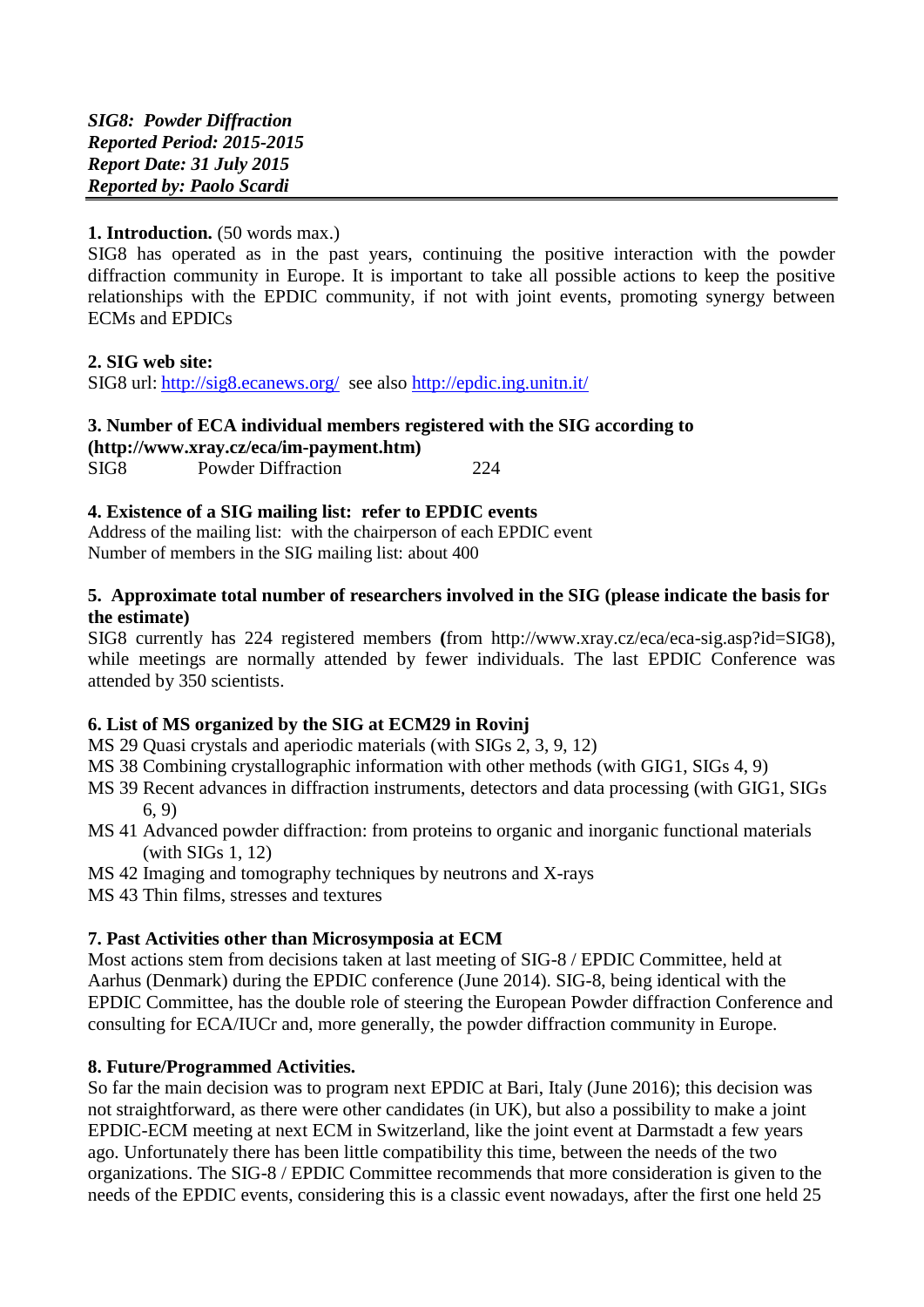## **1. Introduction.** (50 words max.)

SIG8 has operated as in the past years, continuing the positive interaction with the powder diffraction community in Europe. It is important to take all possible actions to keep the positive relationships with the EPDIC community, if not with joint events, promoting synergy between ECMs and EPDICs

### **2. SIG web site:**

SIG8 url: <http://sig8.ecanews.org/> see also<http://epdic.ing.unitn.it/>

#### **3. Number of ECA individual members registered with the SIG according to [\(http://www.xray.cz/eca/im-payment.htm\)](http://www.xray.cz/eca/im-payment.htm)**

| SIG <sub>8</sub> | <b>Powder Diffraction</b> |  | 224 |
|------------------|---------------------------|--|-----|

# **4. Existence of a SIG mailing list: refer to EPDIC events**

Address of the mailing list: with the chairperson of each EPDIC event Number of members in the SIG mailing list: about 400

### **5. Approximate total number of researchers involved in the SIG (please indicate the basis for the estimate)**

SIG8 currently has 224 registered members **(**from http://www.xray.cz/eca/eca-sig.asp?id=SIG8), while meetings are normally attended by fewer individuals. The last EPDIC Conference was attended by 350 scientists.

# **6. List of MS organized by the SIG at ECM29 in Rovinj**

MS 29 Quasi crystals and aperiodic materials (with SIGs 2, 3, 9, 12)

- MS 38 Combining crystallographic information with other methods (with GIG1, SIGs 4, 9)
- MS 39 Recent advances in diffraction instruments, detectors and data processing (with GIG1, SIGs 6, 9)
- MS 41 Advanced powder diffraction: from proteins to organic and inorganic functional materials (with SIGs 1, 12)
- MS 42 Imaging and tomography techniques by neutrons and X-rays

MS 43 Thin films, stresses and textures

### **7. Past Activities other than Microsymposia at ECM**

Most actions stem from decisions taken at last meeting of SIG-8 / EPDIC Committee, held at Aarhus (Denmark) during the EPDIC conference (June 2014). SIG-8, being identical with the EPDIC Committee, has the double role of steering the European Powder diffraction Conference and consulting for ECA/IUCr and, more generally, the powder diffraction community in Europe.

### **8. Future/Programmed Activities.**

So far the main decision was to program next EPDIC at Bari, Italy (June 2016); this decision was not straightforward, as there were other candidates (in UK), but also a possibility to make a joint EPDIC-ECM meeting at next ECM in Switzerland, like the joint event at Darmstadt a few years ago. Unfortunately there has been little compatibility this time, between the needs of the two organizations. The SIG-8 / EPDIC Committee recommends that more consideration is given to the needs of the EPDIC events, considering this is a classic event nowadays, after the first one held 25